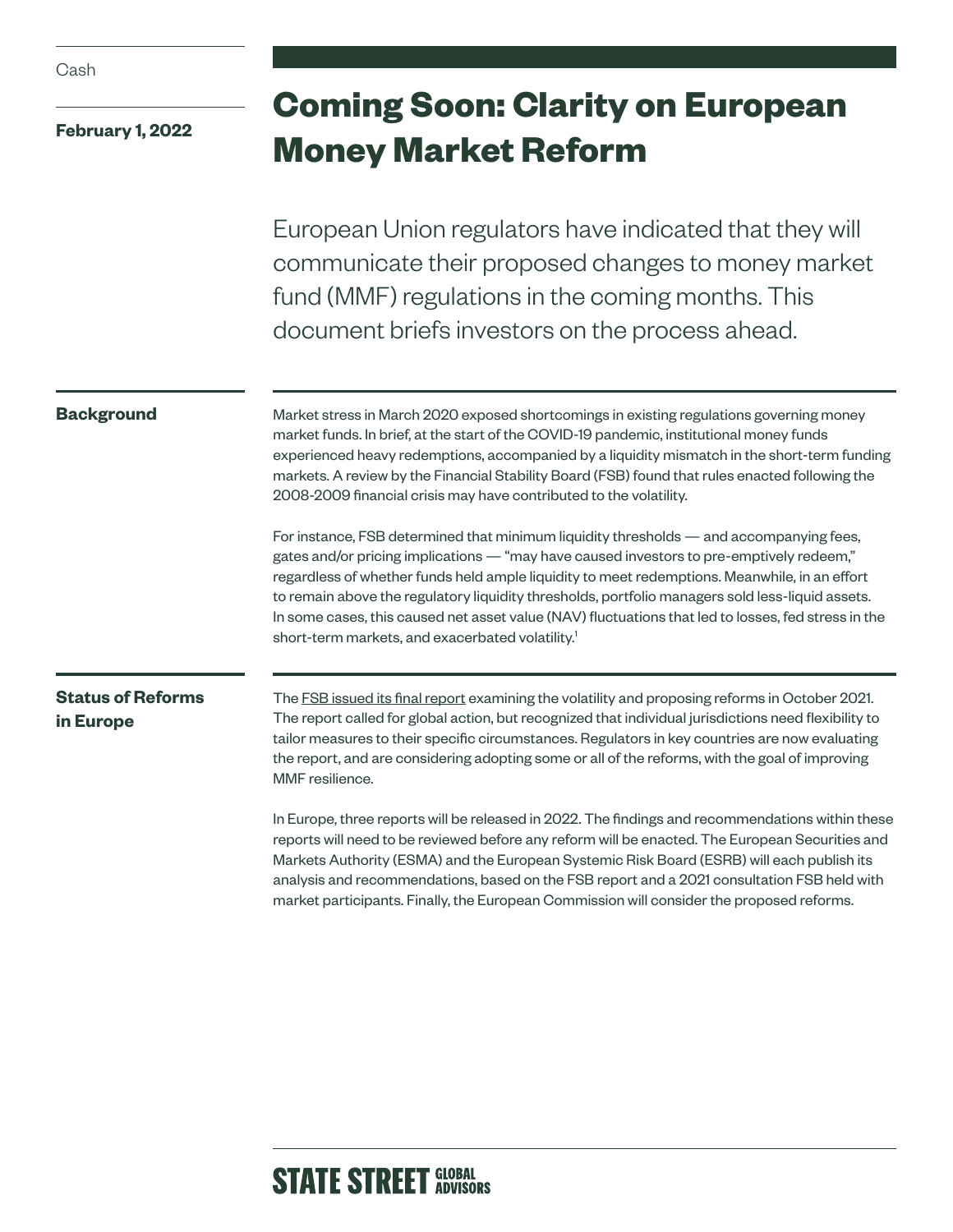| Cash                                  |                                                                                                                                                                                                                                                                                                                                                                                                                                                                                                                                                                                                                                                                                                                                                                                                                                                                                                                                                                  |
|---------------------------------------|------------------------------------------------------------------------------------------------------------------------------------------------------------------------------------------------------------------------------------------------------------------------------------------------------------------------------------------------------------------------------------------------------------------------------------------------------------------------------------------------------------------------------------------------------------------------------------------------------------------------------------------------------------------------------------------------------------------------------------------------------------------------------------------------------------------------------------------------------------------------------------------------------------------------------------------------------------------|
| <b>February 1, 2022</b>               | <b>Coming Soon: Clarity on European</b><br><b>Money Market Reform</b>                                                                                                                                                                                                                                                                                                                                                                                                                                                                                                                                                                                                                                                                                                                                                                                                                                                                                            |
|                                       | European Union regulators have indicated that they will<br>communicate their proposed changes to money market<br>fund (MMF) regulations in the coming months. This<br>document briefs investors on the process ahead.                                                                                                                                                                                                                                                                                                                                                                                                                                                                                                                                                                                                                                                                                                                                            |
| <b>Background</b>                     | Market stress in March 2020 exposed shortcomings in existing regulations governing money<br>market funds. In brief, at the start of the COVID-19 pandemic, institutional money funds<br>experienced heavy redemptions, accompanied by a liquidity mismatch in the short-term funding<br>markets. A review by the Financial Stability Board (FSB) found that rules enacted following the<br>2008-2009 financial crisis may have contributed to the volatility.<br>For instance, FSB determined that minimum liquidity thresholds — and accompanying fees,<br>gates and/or pricing implications — "may have caused investors to pre-emptively redeem,"<br>regardless of whether funds held ample liquidity to meet redemptions. Meanwhile, in an effort<br>to remain above the regulatory liquidity thresholds, portfolio managers sold less-liquid assets.<br>In some cases, this caused net asset value (NAV) fluctuations that led to losses, fed stress in the |
| <b>Status of Reforms</b><br>in Europe | short-term markets, and exacerbated volatility. <sup>1</sup><br>The FSB issued its final report examining the volatility and proposing reforms in October 2021.<br>The report called for global action, but recognized that individual jurisdictions need flexibility to<br>tailor measures to their specific circumstances. Regulators in key countries are now evaluating<br>the report, and are considering adopting some or all of the reforms, with the goal of improving<br>MMF resilience.                                                                                                                                                                                                                                                                                                                                                                                                                                                                |
|                                       | In Europe, three reports will be released in 2022. The findings and recommendations within these<br>reports will need to be reviewed before any reform will be enacted. The European Securities and<br>Markets Authority (ESMA) and the European Systemic Risk Board (ESRB) will each publish its<br>analysis and recommendations, based on the FSB report and a 2021 consultation FSB held with<br>market participants. Finally, the European Commission will consider the proposed reforms.                                                                                                                                                                                                                                                                                                                                                                                                                                                                    |

## **STATE STREET GLOBAL STATE STREET ADVISORS**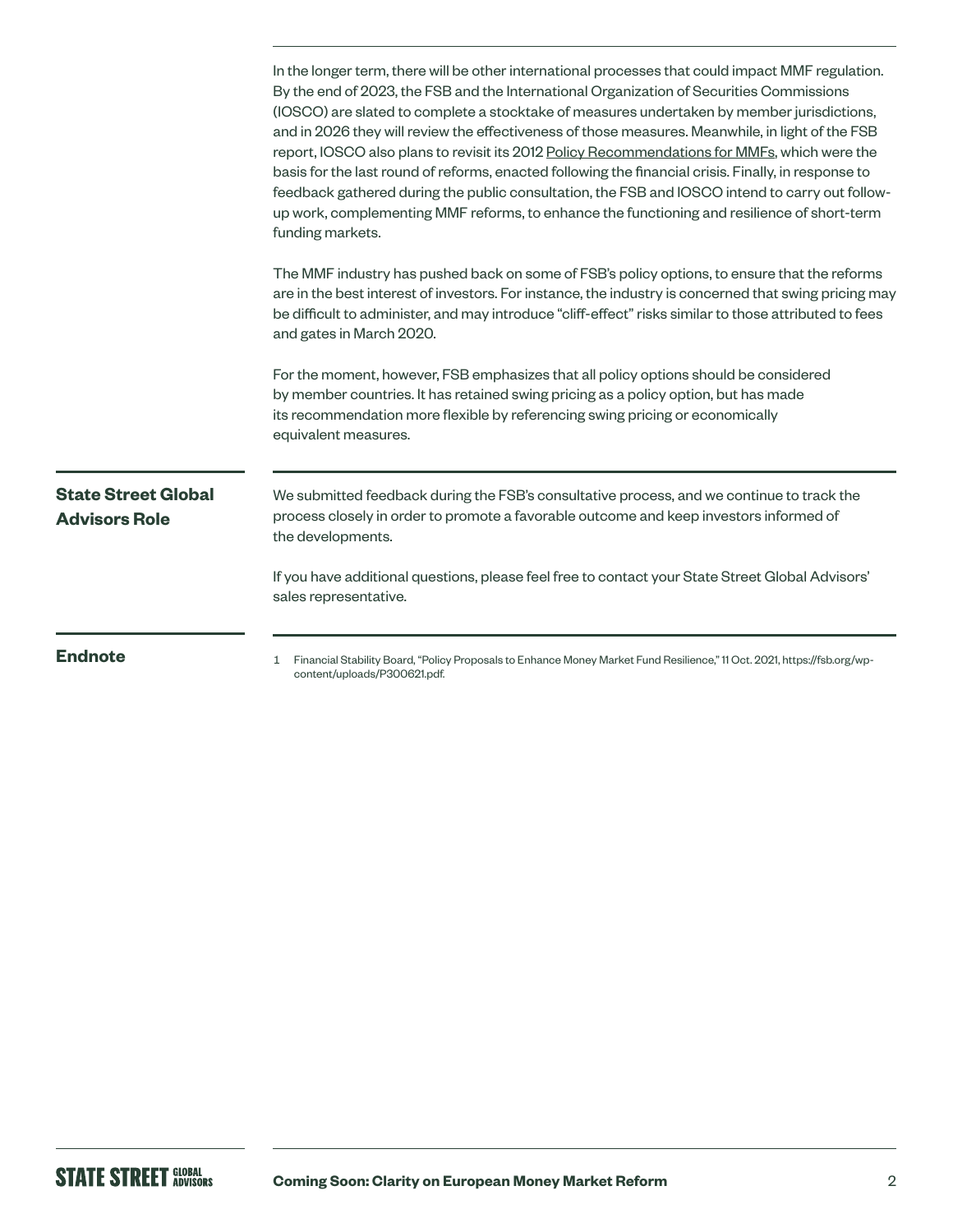|                                                    | In the longer term, there will be other international processes that could impact MMF regulation.<br>By the end of 2023, the FSB and the International Organization of Securities Commissions<br>(IOSCO) are slated to complete a stocktake of measures undertaken by member jurisdictions,<br>and in 2026 they will review the effectiveness of those measures. Meanwhile, in light of the FSB<br>report, IOSCO also plans to revisit its 2012 Policy Recommendations for MMFs, which were the<br>basis for the last round of reforms, enacted following the financial crisis. Finally, in response to<br>feedback gathered during the public consultation, the FSB and IOSCO intend to carry out follow-<br>up work, complementing MMF reforms, to enhance the functioning and resilience of short-term<br>funding markets. |
|----------------------------------------------------|-------------------------------------------------------------------------------------------------------------------------------------------------------------------------------------------------------------------------------------------------------------------------------------------------------------------------------------------------------------------------------------------------------------------------------------------------------------------------------------------------------------------------------------------------------------------------------------------------------------------------------------------------------------------------------------------------------------------------------------------------------------------------------------------------------------------------------|
|                                                    | The MMF industry has pushed back on some of FSB's policy options, to ensure that the reforms<br>are in the best interest of investors. For instance, the industry is concerned that swing pricing may<br>be difficult to administer, and may introduce "cliff-effect" risks similar to those attributed to fees<br>and gates in March 2020.                                                                                                                                                                                                                                                                                                                                                                                                                                                                                   |
|                                                    | For the moment, however, FSB emphasizes that all policy options should be considered<br>by member countries. It has retained swing pricing as a policy option, but has made<br>its recommendation more flexible by referencing swing pricing or economically<br>equivalent measures.                                                                                                                                                                                                                                                                                                                                                                                                                                                                                                                                          |
| <b>State Street Global</b><br><b>Advisors Role</b> | We submitted feedback during the FSB's consultative process, and we continue to track the<br>process closely in order to promote a favorable outcome and keep investors informed of<br>the developments.                                                                                                                                                                                                                                                                                                                                                                                                                                                                                                                                                                                                                      |
|                                                    | If you have additional questions, please feel free to contact your State Street Global Advisors'<br>sales representative.                                                                                                                                                                                                                                                                                                                                                                                                                                                                                                                                                                                                                                                                                                     |
| <b>Endnote</b>                                     | Financial Stability Board, "Policy Proposals to Enhance Money Market Fund Resilience," 11 Oct. 2021, https://fsb.org/wp-<br>1<br>content/uploads/P300621.pdf.                                                                                                                                                                                                                                                                                                                                                                                                                                                                                                                                                                                                                                                                 |